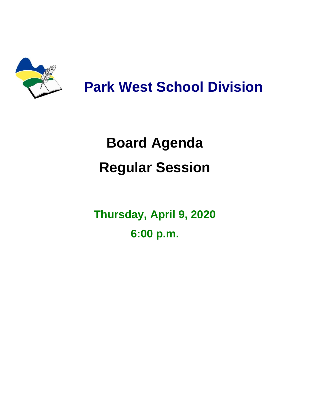

## **Park West School Division**

## **Board Agenda Regular Session**

**Thursday, April 9, 2020 6:00 p.m.**